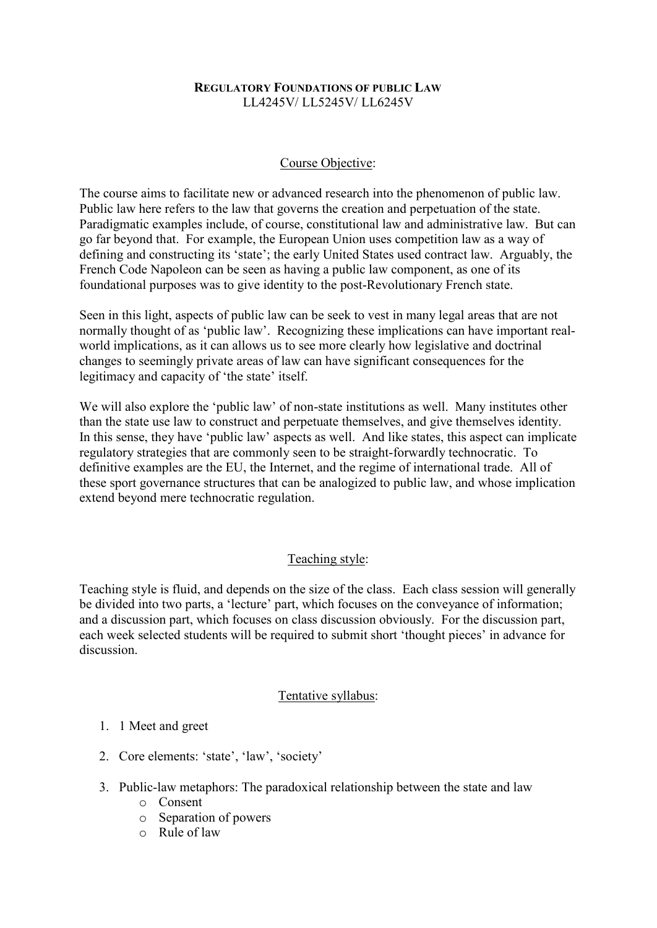#### **REGULATORY FOUNDATIONS OF PUBLIC LAW** LL4245V/ LL5245V/ LL6245V

### Course Objective:

The course aims to facilitate new or advanced research into the phenomenon of public law. Public law here refers to the law that governs the creation and perpetuation of the state. Paradigmatic examples include, of course, constitutional law and administrative law. But can go far beyond that. For example, the European Union uses competition law as a way of defining and constructing its 'state'; the early United States used contract law. Arguably, the French Code Napoleon can be seen as having a public law component, as one of its foundational purposes was to give identity to the post-Revolutionary French state.

Seen in this light, aspects of public law can be seek to vest in many legal areas that are not normally thought of as 'public law'. Recognizing these implications can have important realworld implications, as it can allows us to see more clearly how legislative and doctrinal changes to seemingly private areas of law can have significant consequences for the legitimacy and capacity of 'the state' itself.

We will also explore the 'public law' of non-state institutions as well. Many institutes other than the state use law to construct and perpetuate themselves, and give themselves identity. In this sense, they have 'public law' aspects as well. And like states, this aspect can implicate regulatory strategies that are commonly seen to be straight-forwardly technocratic. To definitive examples are the EU, the Internet, and the regime of international trade. All of these sport governance structures that can be analogized to public law, and whose implication extend beyond mere technocratic regulation.

# Teaching style:

Teaching style is fluid, and depends on the size of the class. Each class session will generally be divided into two parts, a 'lecture' part, which focuses on the conveyance of information; and a discussion part, which focuses on class discussion obviously. For the discussion part, each week selected students will be required to submit short 'thought pieces' in advance for discussion.

#### Tentative syllabus:

#### 1. 1 Meet and greet

- 2. Core elements: 'state', 'law', 'society'
- 3. Public-law metaphors: The paradoxical relationship between the state and law
	- o Consent
	- o Separation of powers
	- o Rule of law